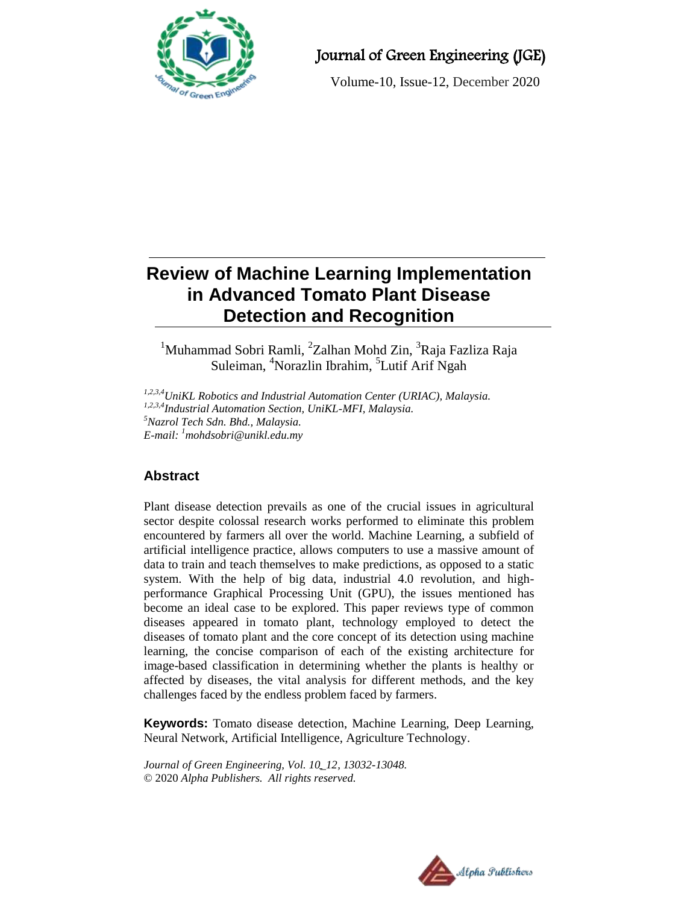

## Journal of Green Engineering (JGE)

Volume-10, Issue-12, December 2020

# **Review of Machine Learning Implementation in Advanced Tomato Plant Disease Detection and Recognition**

 $1$ Muhammad Sobri Ramli, <sup>2</sup>Zalhan Mohd Zin, <sup>3</sup>Raja Fazliza Raja Suleiman, <sup>4</sup>Norazlin Ibrahim, <sup>5</sup>Lutif Arif Ngah

*1,2,3,4UniKL Robotics and Industrial Automation Center (URIAC), Malaysia. 1,2,3,4Industrial Automation Section, UniKL-MFI, Malaysia. <sup>5</sup>Nazrol Tech Sdn. Bhd., Malaysia. E-mail: <sup>1</sup>mohdsobri@unikl.edu.my*

## **Abstract**

Plant disease detection prevails as one of the crucial issues in agricultural sector despite colossal research works performed to eliminate this problem encountered by farmers all over the world. Machine Learning, a subfield of artificial intelligence practice, allows computers to use a massive amount of data to train and teach themselves to make predictions, as opposed to a static system. With the help of big data, industrial 4.0 revolution, and highperformance Graphical Processing Unit (GPU), the issues mentioned has become an ideal case to be explored. This paper reviews type of common diseases appeared in tomato plant, technology employed to detect the diseases of tomato plant and the core concept of its detection using machine learning, the concise comparison of each of the existing architecture for image-based classification in determining whether the plants is healthy or affected by diseases, the vital analysis for different methods, and the key challenges faced by the endless problem faced by farmers.

**Keywords:** Tomato disease detection, Machine Learning, Deep Learning, Neural Network, Artificial Intelligence, Agriculture Technology.

*Journal of Green Engineering, Vol. 10\_12, 13032-13048.* © 2020 *Alpha Publishers. All rights reserved.*

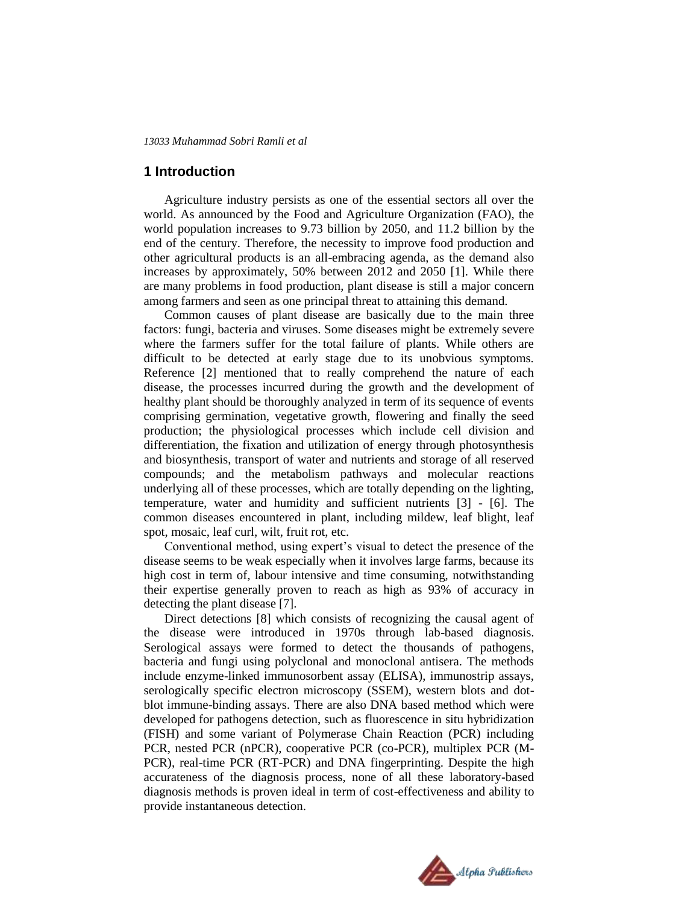## **1 Introduction**

Agriculture industry persists as one of the essential sectors all over the world. As announced by the Food and Agriculture Organization (FAO), the world population increases to 9.73 billion by 2050, and 11.2 billion by the end of the century. Therefore, the necessity to improve food production and other agricultural products is an all-embracing agenda, as the demand also increases by approximately, 50% between 2012 and 2050 [1]. While there are many problems in food production, plant disease is still a major concern among farmers and seen as one principal threat to attaining this demand.

Common causes of plant disease are basically due to the main three factors: fungi, bacteria and viruses. Some diseases might be extremely severe where the farmers suffer for the total failure of plants. While others are difficult to be detected at early stage due to its unobvious symptoms. Reference [2] mentioned that to really comprehend the nature of each disease, the processes incurred during the growth and the development of healthy plant should be thoroughly analyzed in term of its sequence of events comprising germination, vegetative growth, flowering and finally the seed production; the physiological processes which include cell division and differentiation, the fixation and utilization of energy through photosynthesis and biosynthesis, transport of water and nutrients and storage of all reserved compounds; and the metabolism pathways and molecular reactions underlying all of these processes, which are totally depending on the lighting, temperature, water and humidity and sufficient nutrients [3] - [6]. The common diseases encountered in plant, including mildew, leaf blight, leaf spot, mosaic, leaf curl, wilt, fruit rot, etc.

Conventional method, using expert's visual to detect the presence of the disease seems to be weak especially when it involves large farms, because its high cost in term of, labour intensive and time consuming, notwithstanding their expertise generally proven to reach as high as 93% of accuracy in detecting the plant disease [7].

Direct detections [8] which consists of recognizing the causal agent of the disease were introduced in 1970s through lab-based diagnosis. Serological assays were formed to detect the thousands of pathogens, bacteria and fungi using polyclonal and monoclonal antisera. The methods include enzyme-linked immunosorbent assay (ELISA), immunostrip assays, serologically specific electron microscopy (SSEM), western blots and dotblot immune-binding assays. There are also DNA based method which were developed for pathogens detection, such as fluorescence in situ hybridization (FISH) and some variant of Polymerase Chain Reaction (PCR) including PCR, nested PCR (nPCR), cooperative PCR (co-PCR), multiplex PCR (M-PCR), real-time PCR (RT-PCR) and DNA fingerprinting. Despite the high accurateness of the diagnosis process, none of all these laboratory-based diagnosis methods is proven ideal in term of cost-effectiveness and ability to provide instantaneous detection.

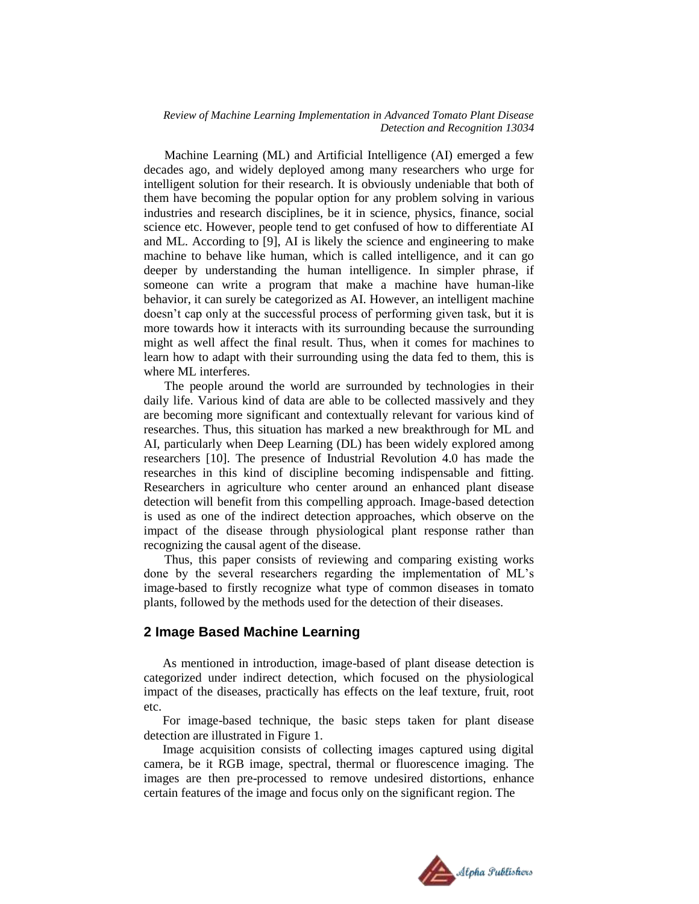Machine Learning (ML) and Artificial Intelligence (AI) emerged a few decades ago, and widely deployed among many researchers who urge for intelligent solution for their research. It is obviously undeniable that both of them have becoming the popular option for any problem solving in various industries and research disciplines, be it in science, physics, finance, social science etc. However, people tend to get confused of how to differentiate AI and ML. According to [9], AI is likely the science and engineering to make machine to behave like human, which is called intelligence, and it can go deeper by understanding the human intelligence. In simpler phrase, if someone can write a program that make a machine have human-like behavior, it can surely be categorized as AI. However, an intelligent machine doesn"t cap only at the successful process of performing given task, but it is more towards how it interacts with its surrounding because the surrounding might as well affect the final result. Thus, when it comes for machines to learn how to adapt with their surrounding using the data fed to them, this is where ML interferes.

The people around the world are surrounded by technologies in their daily life. Various kind of data are able to be collected massively and they are becoming more significant and contextually relevant for various kind of researches. Thus, this situation has marked a new breakthrough for ML and AI, particularly when Deep Learning (DL) has been widely explored among researchers [10]. The presence of Industrial Revolution 4.0 has made the researches in this kind of discipline becoming indispensable and fitting. Researchers in agriculture who center around an enhanced plant disease detection will benefit from this compelling approach. Image-based detection is used as one of the indirect detection approaches, which observe on the impact of the disease through physiological plant response rather than recognizing the causal agent of the disease.

Thus, this paper consists of reviewing and comparing existing works done by the several researchers regarding the implementation of ML"s image-based to firstly recognize what type of common diseases in tomato plants, followed by the methods used for the detection of their diseases.

## **2 Image Based Machine Learning**

As mentioned in introduction, image-based of plant disease detection is categorized under indirect detection, which focused on the physiological impact of the diseases, practically has effects on the leaf texture, fruit, root etc.

For image-based technique, the basic steps taken for plant disease detection are illustrated in Figure 1.

Image acquisition consists of collecting images captured using digital camera, be it RGB image, spectral, thermal or fluorescence imaging. The images are then pre-processed to remove undesired distortions, enhance certain features of the image and focus only on the significant region. The

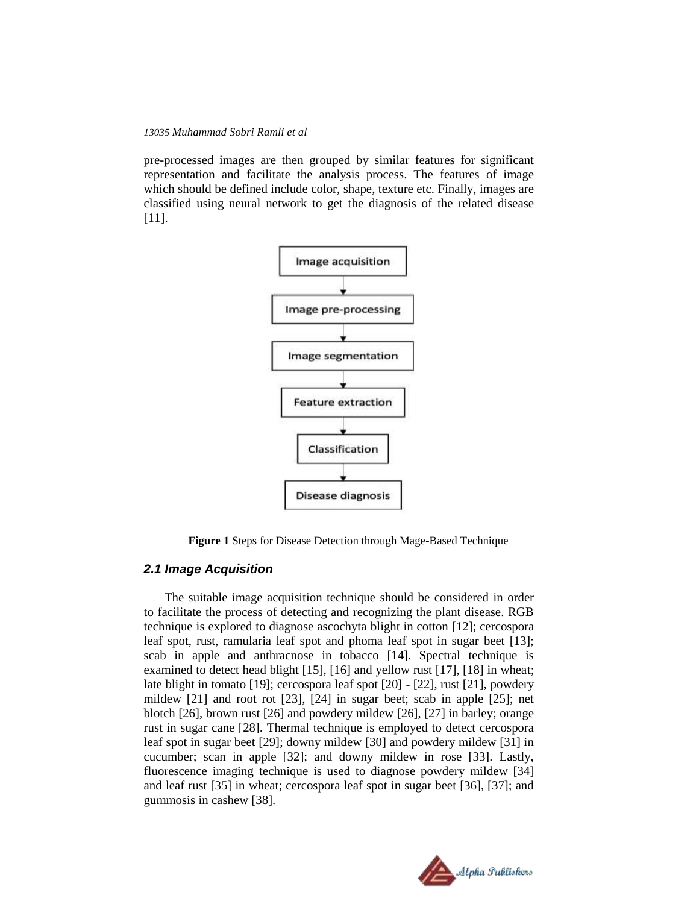pre-processed images are then grouped by similar features for significant representation and facilitate the analysis process. The features of image which should be defined include color, shape, texture etc. Finally, images are classified using neural network to get the diagnosis of the related disease [11].



**Figure 1** Steps for Disease Detection through Mage-Based Technique

## *2.1 Image Acquisition*

The suitable image acquisition technique should be considered in order to facilitate the process of detecting and recognizing the plant disease. RGB technique is explored to diagnose ascochyta blight in cotton [12]; cercospora leaf spot, rust, ramularia leaf spot and phoma leaf spot in sugar beet [13]; scab in apple and anthracnose in tobacco [14]. Spectral technique is examined to detect head blight [15], [16] and yellow rust [17], [18] in wheat; late blight in tomato [19]; cercospora leaf spot [20] - [22], rust [21], powdery mildew [21] and root rot [23], [24] in sugar beet; scab in apple [25]; net blotch [26], brown rust [26] and powdery mildew [26], [27] in barley; orange rust in sugar cane [28]. Thermal technique is employed to detect cercospora leaf spot in sugar beet [29]; downy mildew [30] and powdery mildew [31] in cucumber; scan in apple [32]; and downy mildew in rose [33]. Lastly, fluorescence imaging technique is used to diagnose powdery mildew [34] and leaf rust [35] in wheat; cercospora leaf spot in sugar beet [36], [37]; and gummosis in cashew [38].

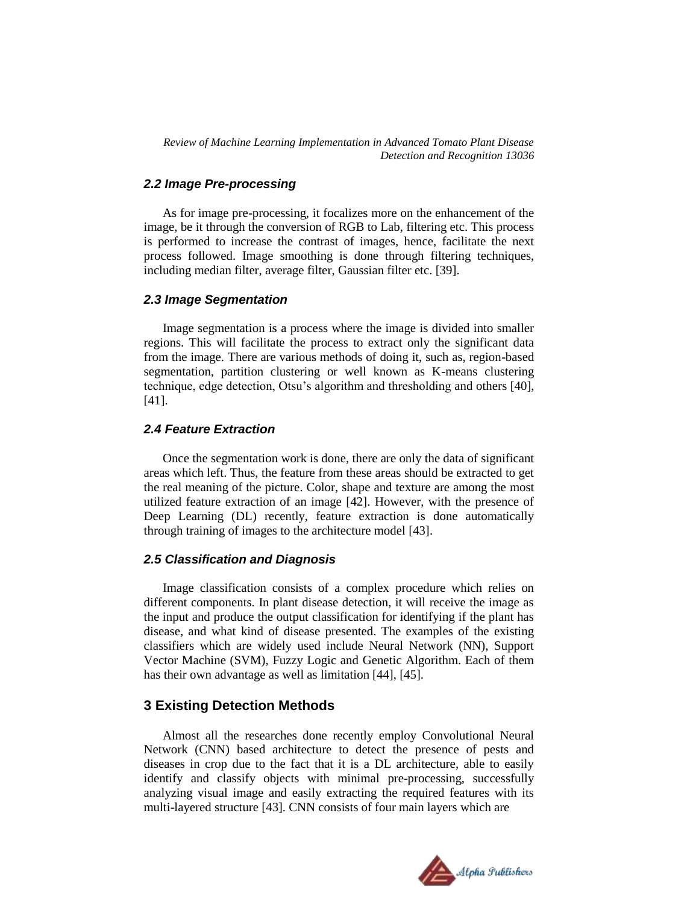## *2.2 Image Pre-processing*

As for image pre-processing, it focalizes more on the enhancement of the image, be it through the conversion of RGB to Lab, filtering etc. This process is performed to increase the contrast of images, hence, facilitate the next process followed. Image smoothing is done through filtering techniques, including median filter, average filter, Gaussian filter etc. [39].

## *2.3 Image Segmentation*

Image segmentation is a process where the image is divided into smaller regions. This will facilitate the process to extract only the significant data from the image. There are various methods of doing it, such as, region-based segmentation, partition clustering or well known as K-means clustering technique, edge detection, Otsu"s algorithm and thresholding and others [40], [41].

## *2.4 Feature Extraction*

Once the segmentation work is done, there are only the data of significant areas which left. Thus, the feature from these areas should be extracted to get the real meaning of the picture. Color, shape and texture are among the most utilized feature extraction of an image [42]. However, with the presence of Deep Learning (DL) recently, feature extraction is done automatically through training of images to the architecture model [43].

#### *2.5 Classification and Diagnosis*

Image classification consists of a complex procedure which relies on different components. In plant disease detection, it will receive the image as the input and produce the output classification for identifying if the plant has disease, and what kind of disease presented. The examples of the existing classifiers which are widely used include Neural Network (NN), Support Vector Machine (SVM), Fuzzy Logic and Genetic Algorithm. Each of them has their own advantage as well as limitation [44], [45].

## **3 Existing Detection Methods**

Almost all the researches done recently employ Convolutional Neural Network (CNN) based architecture to detect the presence of pests and diseases in crop due to the fact that it is a DL architecture, able to easily identify and classify objects with minimal pre-processing, successfully analyzing visual image and easily extracting the required features with its multi-layered structure [43]. CNN consists of four main layers which are

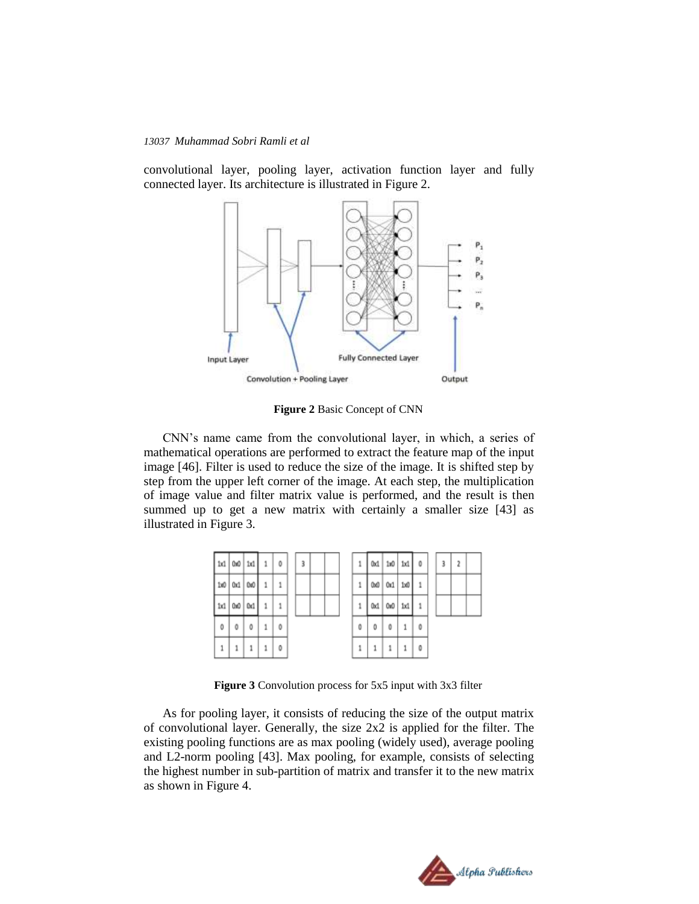convolutional layer, pooling layer, activation function layer and fully connected layer. Its architecture is illustrated in Figure 2.



**Figure 2** Basic Concept of CNN

CNN"s name came from the convolutional layer, in which, a series of mathematical operations are performed to extract the feature map of the input image [46]. Filter is used to reduce the size of the image. It is shifted step by step from the upper left corner of the image. At each step, the multiplication of image value and filter matrix value is performed, and the result is then summed up to get a new matrix with certainly a smaller size [43] as illustrated in Figure 3.



**Figure 3** Convolution process for 5x5 input with 3x3 filter

As for pooling layer, it consists of reducing the size of the output matrix of convolutional layer. Generally, the size 2x2 is applied for the filter. The existing pooling functions are as max pooling (widely used), average pooling and L2-norm pooling [43]. Max pooling, for example, consists of selecting the highest number in sub-partition of matrix and transfer it to the new matrix as shown in Figure 4.

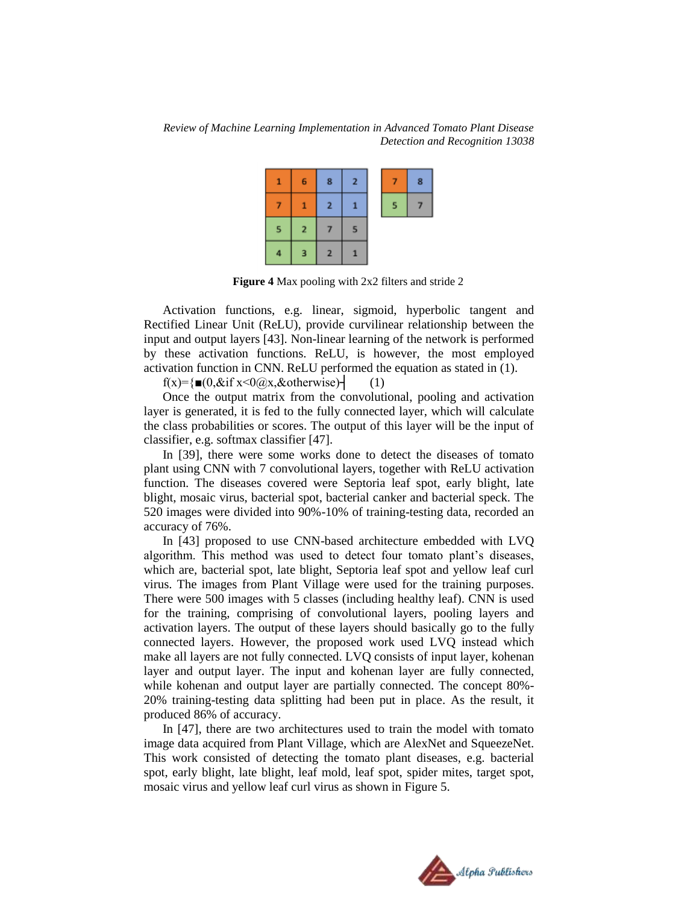| 1 | 6              | 8              | $\overline{2}$ | 7               | 8 |
|---|----------------|----------------|----------------|-----------------|---|
|   | 1              | $\mathbf{2}$   | п              | $5\overline{5}$ |   |
| 5 | $\overline{2}$ |                | s              |                 |   |
| 4 | 3              | $\overline{2}$ | Ф              |                 |   |

**Figure 4** Max pooling with 2x2 filters and stride 2

Activation functions, e.g. linear, sigmoid, hyperbolic tangent and Rectified Linear Unit (ReLU), provide curvilinear relationship between the input and output layers [43]. Non-linear learning of the network is performed by these activation functions. ReLU, is however, the most employed activation function in CNN. ReLU performed the equation as stated in (1).

 $f(x)=\{ \blacksquare(0,\&\text{if } x\leq 0 \text{ (}a\text{)}\text{ x},\&\text{otherwise}\}\}$  (1)

Once the output matrix from the convolutional, pooling and activation layer is generated, it is fed to the fully connected layer, which will calculate the class probabilities or scores. The output of this layer will be the input of classifier, e.g. softmax classifier [47].

In [39], there were some works done to detect the diseases of tomato plant using CNN with 7 convolutional layers, together with ReLU activation function. The diseases covered were Septoria leaf spot, early blight, late blight, mosaic virus, bacterial spot, bacterial canker and bacterial speck. The 520 images were divided into 90%-10% of training-testing data, recorded an accuracy of 76%.

In [43] proposed to use CNN-based architecture embedded with LVQ algorithm. This method was used to detect four tomato plant's diseases, which are, bacterial spot, late blight, Septoria leaf spot and yellow leaf curl virus. The images from Plant Village were used for the training purposes. There were 500 images with 5 classes (including healthy leaf). CNN is used for the training, comprising of convolutional layers, pooling layers and activation layers. The output of these layers should basically go to the fully connected layers. However, the proposed work used LVQ instead which make all layers are not fully connected. LVQ consists of input layer, kohenan layer and output layer. The input and kohenan layer are fully connected, while kohenan and output layer are partially connected. The concept 80%- 20% training-testing data splitting had been put in place. As the result, it produced 86% of accuracy.

In [47], there are two architectures used to train the model with tomato image data acquired from Plant Village, which are AlexNet and SqueezeNet. This work consisted of detecting the tomato plant diseases, e.g. bacterial spot, early blight, late blight, leaf mold, leaf spot, spider mites, target spot, mosaic virus and yellow leaf curl virus as shown in Figure 5.

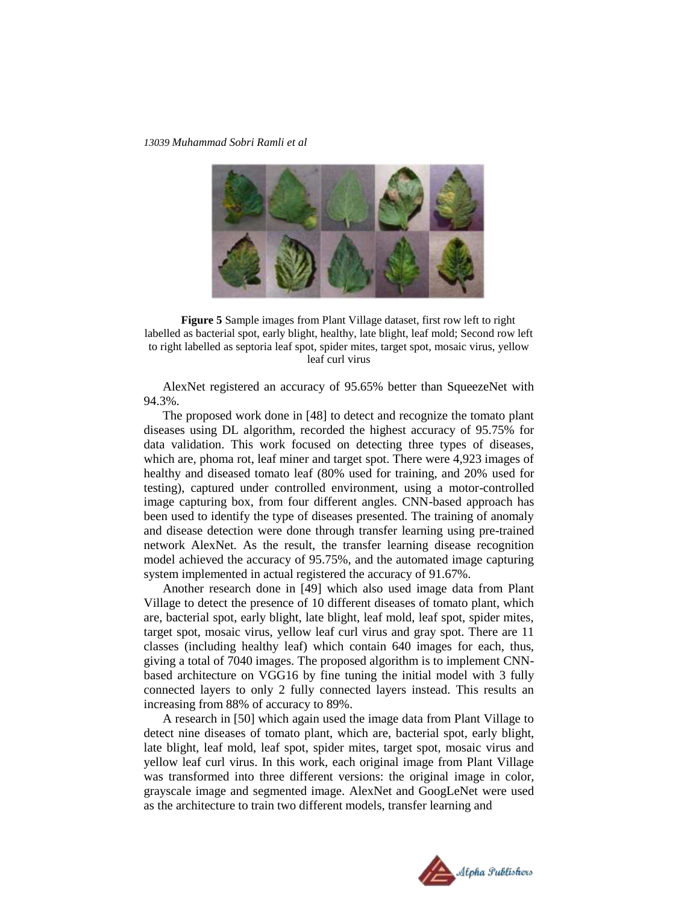

**Figure 5** Sample images from Plant Village dataset, first row left to right labelled as bacterial spot, early blight, healthy, late blight, leaf mold; Second row left to right labelled as septoria leaf spot, spider mites, target spot, mosaic virus, yellow leaf curl virus

AlexNet registered an accuracy of 95.65% better than SqueezeNet with 94.3%.

The proposed work done in [48] to detect and recognize the tomato plant diseases using DL algorithm, recorded the highest accuracy of 95.75% for data validation. This work focused on detecting three types of diseases, which are, phoma rot, leaf miner and target spot. There were 4,923 images of healthy and diseased tomato leaf (80% used for training, and 20% used for testing), captured under controlled environment, using a motor-controlled image capturing box, from four different angles. CNN-based approach has been used to identify the type of diseases presented. The training of anomaly and disease detection were done through transfer learning using pre-trained network AlexNet. As the result, the transfer learning disease recognition model achieved the accuracy of 95.75%, and the automated image capturing system implemented in actual registered the accuracy of 91.67%.

Another research done in [49] which also used image data from Plant Village to detect the presence of 10 different diseases of tomato plant, which are, bacterial spot, early blight, late blight, leaf mold, leaf spot, spider mites, target spot, mosaic virus, yellow leaf curl virus and gray spot. There are 11 classes (including healthy leaf) which contain 640 images for each, thus, giving a total of 7040 images. The proposed algorithm is to implement CNNbased architecture on VGG16 by fine tuning the initial model with 3 fully connected layers to only 2 fully connected layers instead. This results an increasing from 88% of accuracy to 89%.

A research in [50] which again used the image data from Plant Village to detect nine diseases of tomato plant, which are, bacterial spot, early blight, late blight, leaf mold, leaf spot, spider mites, target spot, mosaic virus and yellow leaf curl virus. In this work, each original image from Plant Village was transformed into three different versions: the original image in color, grayscale image and segmented image. AlexNet and GoogLeNet were used as the architecture to train two different models, transfer learning and

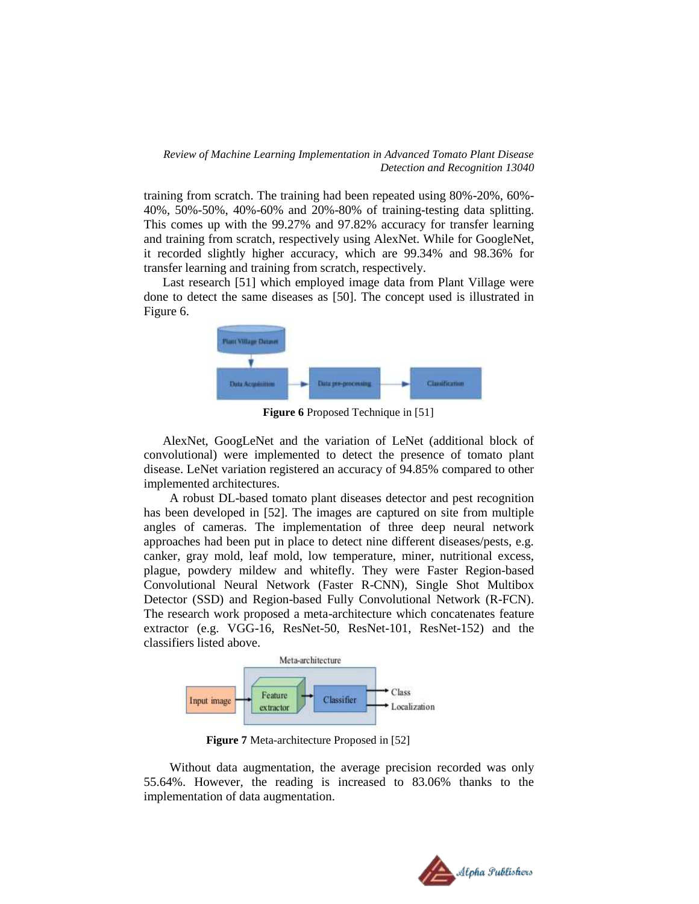training from scratch. The training had been repeated using 80%-20%, 60%- 40%, 50%-50%, 40%-60% and 20%-80% of training-testing data splitting. This comes up with the 99.27% and 97.82% accuracy for transfer learning and training from scratch, respectively using AlexNet. While for GoogleNet, it recorded slightly higher accuracy, which are 99.34% and 98.36% for transfer learning and training from scratch, respectively.

Last research [51] which employed image data from Plant Village were done to detect the same diseases as [50]. The concept used is illustrated in Figure 6.



**Figure 6** Proposed Technique in [51]

AlexNet, GoogLeNet and the variation of LeNet (additional block of convolutional) were implemented to detect the presence of tomato plant disease. LeNet variation registered an accuracy of 94.85% compared to other implemented architectures.

A robust DL-based tomato plant diseases detector and pest recognition has been developed in [52]. The images are captured on site from multiple angles of cameras. The implementation of three deep neural network approaches had been put in place to detect nine different diseases/pests, e.g. canker, gray mold, leaf mold, low temperature, miner, nutritional excess, plague, powdery mildew and whitefly. They were Faster Region-based Convolutional Neural Network (Faster R-CNN), Single Shot Multibox Detector (SSD) and Region-based Fully Convolutional Network (R-FCN). The research work proposed a meta-architecture which concatenates feature extractor (e.g. VGG-16, ResNet-50, ResNet-101, ResNet-152) and the classifiers listed above.



**Figure 7** Meta-architecture Proposed in [52]

Without data augmentation, the average precision recorded was only 55.64%. However, the reading is increased to 83.06% thanks to the implementation of data augmentation.

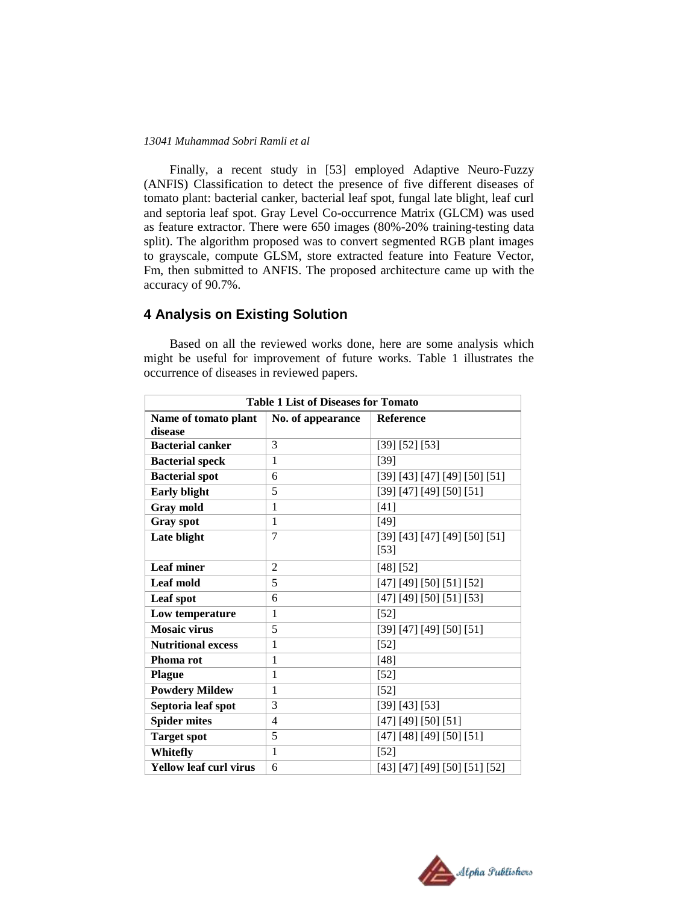Finally, a recent study in [53] employed Adaptive Neuro-Fuzzy (ANFIS) Classification to detect the presence of five different diseases of tomato plant: bacterial canker, bacterial leaf spot, fungal late blight, leaf curl and septoria leaf spot. Gray Level Co-occurrence Matrix (GLCM) was used as feature extractor. There were 650 images (80%-20% training-testing data split). The algorithm proposed was to convert segmented RGB plant images to grayscale, compute GLSM, store extracted feature into Feature Vector, Fm, then submitted to ANFIS. The proposed architecture came up with the accuracy of 90.7%.

## **4 Analysis on Existing Solution**

Based on all the reviewed works done, here are some analysis which might be useful for improvement of future works. Table 1 illustrates the occurrence of diseases in reviewed papers.

| <b>Table 1 List of Diseases for Tomato</b> |                   |                                         |  |  |  |  |  |
|--------------------------------------------|-------------------|-----------------------------------------|--|--|--|--|--|
| Name of tomato plant<br>disease            | No. of appearance | Reference                               |  |  |  |  |  |
| <b>Bacterial canker</b>                    | 3                 | [39] [52] [53]                          |  |  |  |  |  |
| <b>Bacterial speck</b>                     | 1                 | $[39]$                                  |  |  |  |  |  |
| <b>Bacterial spot</b>                      | 6                 | [39] [43] [47] [49] [50] [51]           |  |  |  |  |  |
| <b>Early blight</b>                        | 5                 | [39] [47] [49] [50] [51]                |  |  |  |  |  |
| Gray mold                                  | 1                 | $[41]$                                  |  |  |  |  |  |
| Gray spot                                  | $\mathbf{1}$      | $[49]$                                  |  |  |  |  |  |
| Late blight                                | 7                 | [39] [43] [47] [49] [50] [51]<br>$[53]$ |  |  |  |  |  |
| <b>Leaf miner</b>                          | $\overline{2}$    | [48] [52]                               |  |  |  |  |  |
| Leaf mold                                  | 5                 | [47] [49] [50] [51] [52]                |  |  |  |  |  |
| Leaf spot                                  | 6                 | [47] [49] [50] [51] [53]                |  |  |  |  |  |
| Low temperature                            | 1                 | $[52]$                                  |  |  |  |  |  |
| <b>Mosaic virus</b>                        | 5                 | [39] [47] [49] [50] [51]                |  |  |  |  |  |
| <b>Nutritional excess</b>                  | $\mathbf{1}$      | $[52]$                                  |  |  |  |  |  |
| Phoma rot                                  | $\mathbf{1}$      | $[48]$                                  |  |  |  |  |  |
| <b>Plague</b>                              | 1                 | $[52]$                                  |  |  |  |  |  |
| <b>Powdery Mildew</b>                      | 1                 | $[52]$                                  |  |  |  |  |  |
| Septoria leaf spot                         | 3                 | [39] [43] [53]                          |  |  |  |  |  |
| <b>Spider mites</b>                        | $\overline{4}$    | [47] [49] [50] [51]                     |  |  |  |  |  |
| <b>Target spot</b>                         | 5                 | [47] [48] [49] [50] [51]                |  |  |  |  |  |
| Whitefly                                   | 1                 | $[52]$                                  |  |  |  |  |  |
| <b>Yellow leaf curl virus</b>              | 6                 | [43] [47] [49] [50] [51] [52]           |  |  |  |  |  |

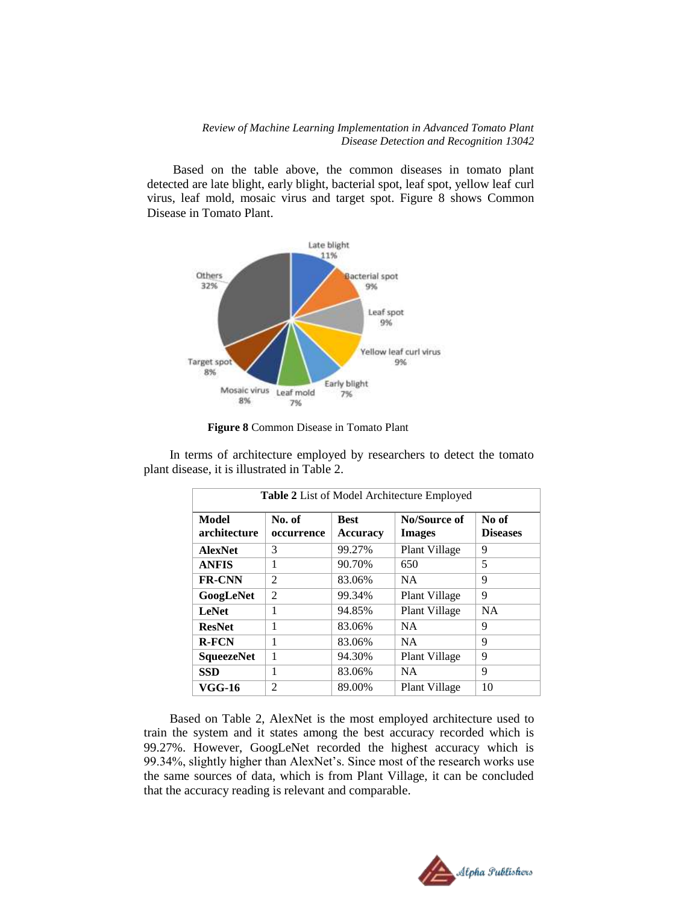Based on the table above, the common diseases in tomato plant detected are late blight, early blight, bacterial spot, leaf spot, yellow leaf curl virus, leaf mold, mosaic virus and target spot. Figure 8 shows Common Disease in Tomato Plant.



**Figure 8** Common Disease in Tomato Plant

In terms of architecture employed by researchers to detect the tomato plant disease, it is illustrated in Table 2.

| Table 2 List of Model Architecture Employed |                      |                                |                               |                          |  |  |  |
|---------------------------------------------|----------------------|--------------------------------|-------------------------------|--------------------------|--|--|--|
| Model<br>architecture                       | No. of<br>occurrence | <b>Best</b><br><b>Accuracy</b> | No/Source of<br><b>Images</b> | No of<br><b>Diseases</b> |  |  |  |
| <b>AlexNet</b>                              | 3                    | 99.27%                         | Plant Village                 | 9                        |  |  |  |
| <b>ANFIS</b>                                | 1                    | 90.70%                         | 650                           | 5                        |  |  |  |
| <b>FR-CNN</b>                               | $\overline{2}$       | 83.06%                         | <b>NA</b>                     | 9                        |  |  |  |
| GoogLeNet                                   | 2                    | 99.34%                         | Plant Village                 | 9                        |  |  |  |
| <b>LeNet</b>                                | 1                    | 94.85%                         | Plant Village                 | <b>NA</b>                |  |  |  |
| <b>ResNet</b>                               | 1                    | 83.06%                         | <b>NA</b>                     | 9                        |  |  |  |
| <b>R-FCN</b>                                | 1                    | 83.06%                         | <b>NA</b>                     | 9                        |  |  |  |
| <b>SqueezeNet</b>                           | 1                    | 94.30%                         | Plant Village                 | 9                        |  |  |  |
| SSD                                         | 1                    | 83.06%                         | <b>NA</b>                     | 9                        |  |  |  |
| VGG-16                                      | $\overline{2}$       | 89.00%                         | Plant Village                 | 10                       |  |  |  |

Based on Table 2, AlexNet is the most employed architecture used to train the system and it states among the best accuracy recorded which is 99.27%. However, GoogLeNet recorded the highest accuracy which is 99.34%, slightly higher than AlexNet"s. Since most of the research works use the same sources of data, which is from Plant Village, it can be concluded that the accuracy reading is relevant and comparable.

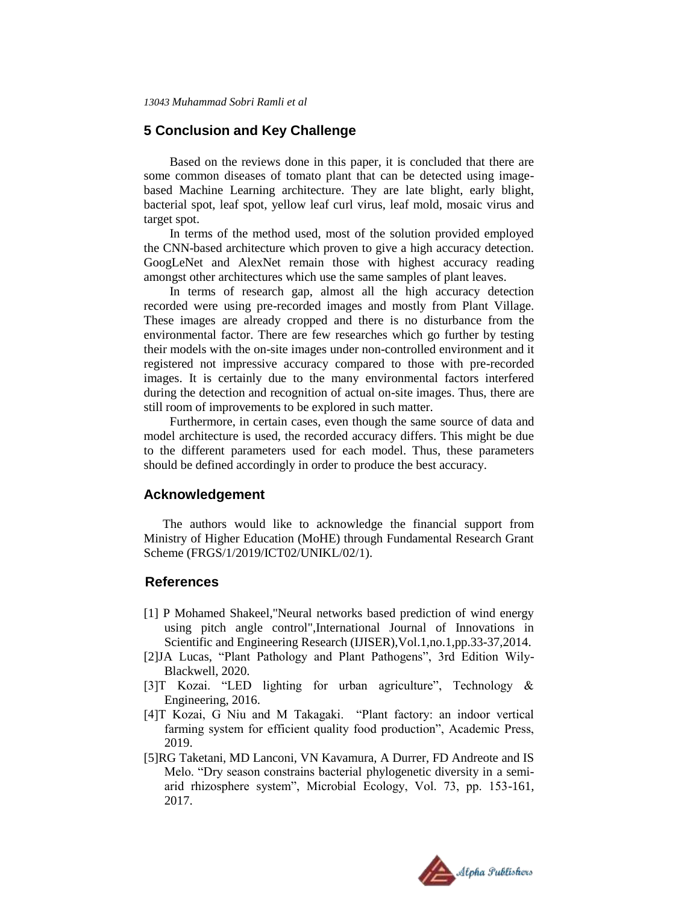## **5 Conclusion and Key Challenge**

Based on the reviews done in this paper, it is concluded that there are some common diseases of tomato plant that can be detected using imagebased Machine Learning architecture. They are late blight, early blight, bacterial spot, leaf spot, yellow leaf curl virus, leaf mold, mosaic virus and target spot.

In terms of the method used, most of the solution provided employed the CNN-based architecture which proven to give a high accuracy detection. GoogLeNet and AlexNet remain those with highest accuracy reading amongst other architectures which use the same samples of plant leaves.

In terms of research gap, almost all the high accuracy detection recorded were using pre-recorded images and mostly from Plant Village. These images are already cropped and there is no disturbance from the environmental factor. There are few researches which go further by testing their models with the on-site images under non-controlled environment and it registered not impressive accuracy compared to those with pre-recorded images. It is certainly due to the many environmental factors interfered during the detection and recognition of actual on-site images. Thus, there are still room of improvements to be explored in such matter.

Furthermore, in certain cases, even though the same source of data and model architecture is used, the recorded accuracy differs. This might be due to the different parameters used for each model. Thus, these parameters should be defined accordingly in order to produce the best accuracy.

## **Acknowledgement**

The authors would like to acknowledge the financial support from Ministry of Higher Education (MoHE) through Fundamental Research Grant Scheme (FRGS/1/2019/ICT02/UNIKL/02/1).

## **References**

- [1] P Mohamed Shakeel,"Neural networks based prediction of wind energy using pitch angle control",International Journal of Innovations in Scientific and Engineering Research (IJISER),Vol.1,no.1,pp.33-37,2014.
- [2]JA Lucas, "Plant Pathology and Plant Pathogens", 3rd Edition Wily-Blackwell, 2020.
- [3]T Kozai. "LED lighting for urban agriculture", Technology & Engineering, 2016.
- [4]T Kozai, G Niu and M Takagaki. "Plant factory: an indoor vertical farming system for efficient quality food production", Academic Press, 2019.
- [5]RG Taketani, MD Lanconi, VN Kavamura, A Durrer, FD Andreote and IS Melo. "Dry season constrains bacterial phylogenetic diversity in a semiarid rhizosphere system", Microbial Ecology, Vol. 73, pp. 153-161, 2017.

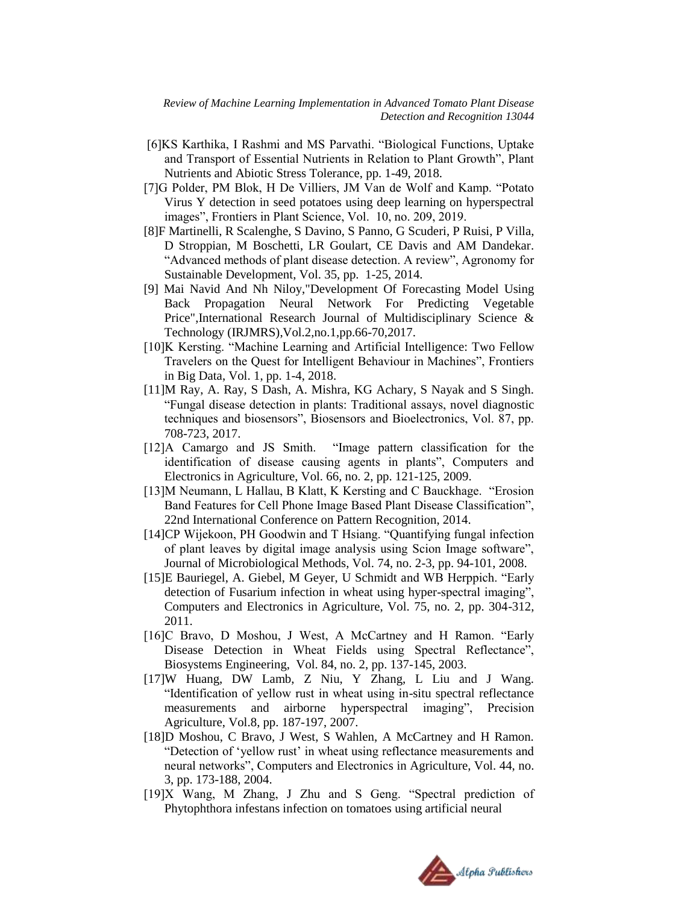- [6]KS Karthika, I Rashmi and MS Parvathi. "Biological Functions, Uptake and Transport of Essential Nutrients in Relation to Plant Growth", Plant Nutrients and Abiotic Stress Tolerance, pp. 1-49, 2018.
- [7]G Polder, PM Blok, H De Villiers, JM Van de Wolf and Kamp. "Potato Virus Y detection in seed potatoes using deep learning on hyperspectral images", Frontiers in Plant Science, Vol. 10, no. 209, 2019.
- [8]F Martinelli, R Scalenghe, S Davino, S Panno, G Scuderi, P Ruisi, P Villa, D Stroppian, M Boschetti, LR Goulart, CE Davis and AM Dandekar. "Advanced methods of plant disease detection. A review", Agronomy for Sustainable Development, Vol. 35, pp. 1-25, 2014.
- [9] Mai Navid And Nh Niloy,"Development Of Forecasting Model Using Back Propagation Neural Network For Predicting Vegetable Price", International Research Journal of Multidisciplinary Science & Technology (IRJMRS),Vol.2,no.1,pp.66-70,2017.
- [10]K Kersting. "Machine Learning and Artificial Intelligence: Two Fellow Travelers on the Quest for Intelligent Behaviour in Machines", Frontiers in Big Data, Vol. 1, pp. 1-4, 2018.
- [11]M Ray, A. Ray, S Dash, A. Mishra, KG Achary, S Nayak and S Singh. "Fungal disease detection in plants: Traditional assays, novel diagnostic techniques and biosensors", Biosensors and Bioelectronics, Vol. 87, pp. 708-723, 2017.
- [12]A Camargo and JS Smith. "Image pattern classification for the identification of disease causing agents in plants", Computers and Electronics in Agriculture, Vol. 66, no. 2, pp. 121-125, 2009.
- [13]M Neumann, L Hallau, B Klatt, K Kersting and C Bauckhage. "Erosion Band Features for Cell Phone Image Based Plant Disease Classification", 22nd International Conference on Pattern Recognition, 2014.
- [14]CP Wijekoon, PH Goodwin and T Hsiang. "Quantifying fungal infection of plant leaves by digital image analysis using Scion Image software", Journal of Microbiological Methods, Vol. 74, no. 2-3, pp. 94-101, 2008.
- [15]E Bauriegel, A. Giebel, M Geyer, U Schmidt and WB Herppich. "Early detection of Fusarium infection in wheat using hyper-spectral imaging", Computers and Electronics in Agriculture, Vol. 75, no. 2, pp. 304-312, 2011.
- [16]C Bravo, D Moshou, J West, A McCartney and H Ramon. "Early Disease Detection in Wheat Fields using Spectral Reflectance", Biosystems Engineering, Vol. 84, no. 2, pp. 137-145, 2003.
- [17]W Huang, DW Lamb, Z Niu, Y Zhang, L Liu and J Wang. "Identification of yellow rust in wheat using in-situ spectral reflectance measurements and airborne hyperspectral imaging", Precision Agriculture, Vol.8, pp. 187-197, 2007.
- [18]D Moshou, C Bravo, J West, S Wahlen, A McCartney and H Ramon. "Detection of "yellow rust" in wheat using reflectance measurements and neural networks", Computers and Electronics in Agriculture, Vol. 44, no. 3, pp. 173-188, 2004.
- [19]X Wang, M Zhang, J Zhu and S Geng. "Spectral prediction of Phytophthora infestans infection on tomatoes using artificial neural

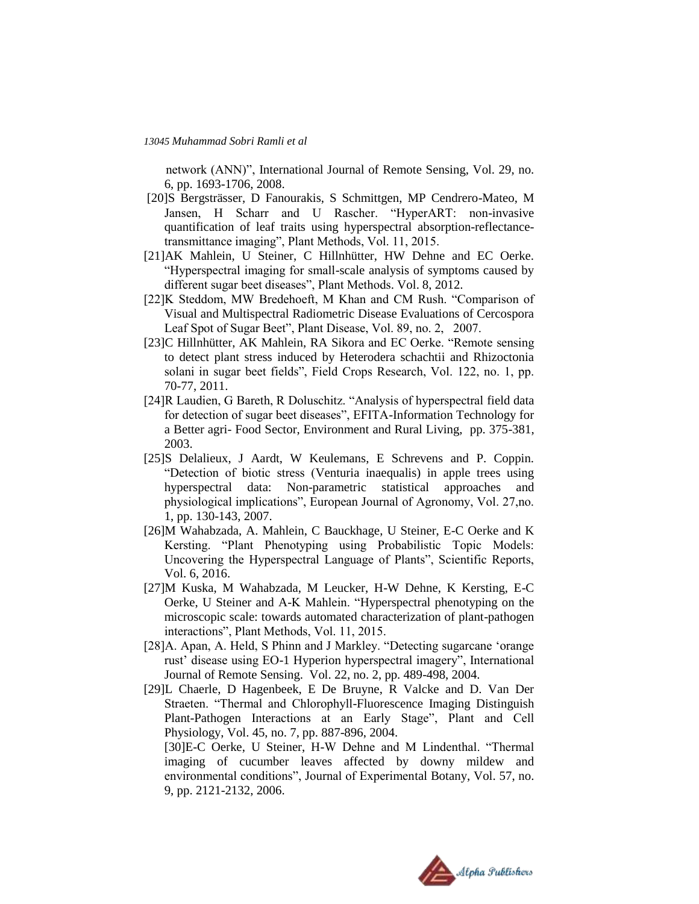network (ANN)", International Journal of Remote Sensing, Vol. 29, no. 6, pp. 1693-1706, 2008.

- [20]S Bergsträsser, D Fanourakis, S Schmittgen, MP Cendrero-Mateo, M Jansen, H Scharr and U Rascher. "HyperART: non-invasive quantification of leaf traits using hyperspectral absorption-reflectancetransmittance imaging", Plant Methods, Vol. 11, 2015.
- [21]AK Mahlein, U Steiner, C Hillnhütter, HW Dehne and EC Oerke. "Hyperspectral imaging for small-scale analysis of symptoms caused by different sugar beet diseases", Plant Methods. Vol. 8, 2012.
- [22]K Steddom, MW Bredehoeft, M Khan and CM Rush. "Comparison of Visual and Multispectral Radiometric Disease Evaluations of Cercospora Leaf Spot of Sugar Beet", Plant Disease, Vol. 89, no. 2, 2007.
- [23]C Hillnhütter, AK Mahlein, RA Sikora and EC Oerke. "Remote sensing to detect plant stress induced by Heterodera schachtii and Rhizoctonia solani in sugar beet fields", Field Crops Research, Vol. 122, no. 1, pp. 70-77, 2011.
- [24]R Laudien, G Bareth, R Doluschitz. "Analysis of hyperspectral field data for detection of sugar beet diseases", EFITA-Information Technology for a Better agri- Food Sector, Environment and Rural Living, pp. 375-381, 2003.
- [25]S Delalieux, J Aardt, W Keulemans, E Schrevens and P. Coppin. "Detection of biotic stress (Venturia inaequalis) in apple trees using hyperspectral data: Non-parametric statistical approaches and physiological implications", European Journal of Agronomy, Vol. 27,no. 1, pp. 130-143, 2007.
- [26]M Wahabzada, A. Mahlein, C Bauckhage, U Steiner, E-C Oerke and K Kersting. "Plant Phenotyping using Probabilistic Topic Models: Uncovering the Hyperspectral Language of Plants", Scientific Reports, Vol. 6, 2016.
- [27]M Kuska, M Wahabzada, M Leucker, H-W Dehne, K Kersting, E-C Oerke, U Steiner and A-K Mahlein. "Hyperspectral phenotyping on the microscopic scale: towards automated characterization of plant-pathogen interactions", Plant Methods, Vol. 11, 2015.
- [28]A. Apan, A. Held, S Phinn and J Markley. "Detecting sugarcane "orange rust" disease using EO-1 Hyperion hyperspectral imagery", International Journal of Remote Sensing. Vol. 22, no. 2, pp. 489-498, 2004.
- [29]L Chaerle, D Hagenbeek, E De Bruyne, R Valcke and D. Van Der Straeten. "Thermal and Chlorophyll-Fluorescence Imaging Distinguish Plant-Pathogen Interactions at an Early Stage", Plant and Cell Physiology, Vol. 45, no. 7, pp. 887-896, 2004.

[30]E-C Oerke, U Steiner, H-W Dehne and M Lindenthal. "Thermal imaging of cucumber leaves affected by downy mildew and environmental conditions", Journal of Experimental Botany, Vol. 57, no. 9, pp. 2121-2132, 2006.

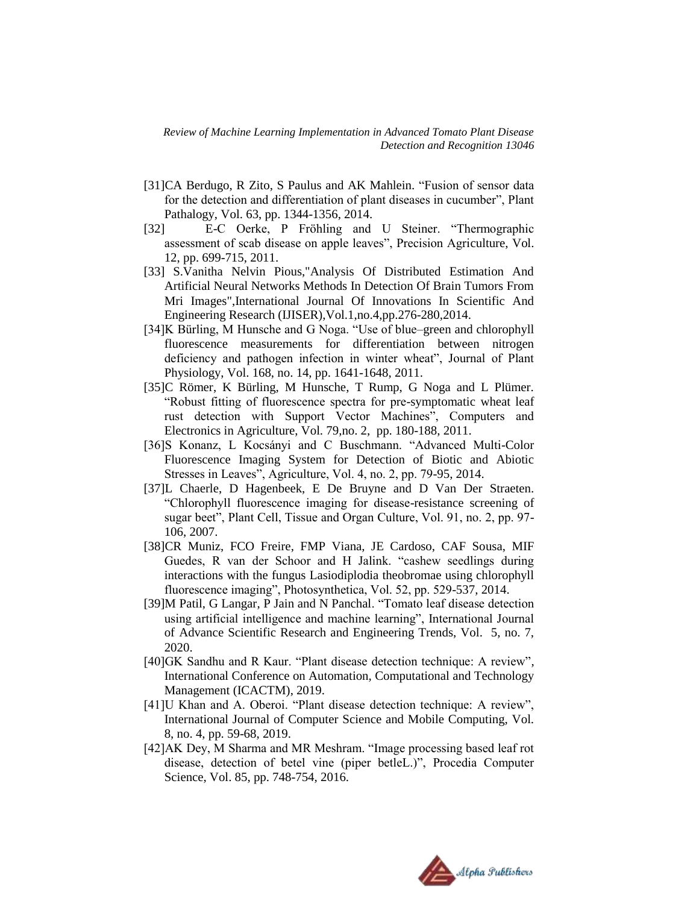- [31]CA Berdugo, R Zito, S Paulus and AK Mahlein. "Fusion of sensor data for the detection and differentiation of plant diseases in cucumber", Plant Pathalogy, Vol. 63, pp. 1344-1356, 2014.
- [32] E-C Oerke, P Fröhling and U Steiner. "Thermographic assessment of scab disease on apple leaves", Precision Agriculture, Vol. 12, pp. 699-715, 2011.
- [33] S.Vanitha Nelvin Pious,"Analysis Of Distributed Estimation And Artificial Neural Networks Methods In Detection Of Brain Tumors From Mri Images",International Journal Of Innovations In Scientific And Engineering Research (IJISER),Vol.1,no.4,pp.276-280,2014.
- [34]K Bürling, M Hunsche and G Noga. "Use of blue–green and chlorophyll fluorescence measurements for differentiation between nitrogen deficiency and pathogen infection in winter wheat", Journal of Plant Physiology, Vol. 168, no. 14, pp. 1641-1648, 2011.
- [35]C Römer, K Bürling, M Hunsche, T Rump, G Noga and L Plümer. "Robust fitting of fluorescence spectra for pre-symptomatic wheat leaf rust detection with Support Vector Machines", Computers and Electronics in Agriculture, Vol. 79,no. 2, pp. 180-188, 2011.
- [36]S Konanz, L Kocsányi and C Buschmann. "Advanced Multi-Color Fluorescence Imaging System for Detection of Biotic and Abiotic Stresses in Leaves", Agriculture, Vol. 4, no. 2, pp. 79-95, 2014.
- [37]L Chaerle, D Hagenbeek, E De Bruyne and D Van Der Straeten. "Chlorophyll fluorescence imaging for disease-resistance screening of sugar beet", Plant Cell, Tissue and Organ Culture, Vol. 91, no. 2, pp. 97- 106, 2007.
- [38]CR Muniz, FCO Freire, FMP Viana, JE Cardoso, CAF Sousa, MIF Guedes, R van der Schoor and H Jalink. "cashew seedlings during interactions with the fungus Lasiodiplodia theobromae using chlorophyll fluorescence imaging", Photosynthetica, Vol. 52, pp. 529-537, 2014.
- [39]M Patil, G Langar, P Jain and N Panchal. "Tomato leaf disease detection using artificial intelligence and machine learning", International Journal of Advance Scientific Research and Engineering Trends, Vol. 5, no. 7, 2020.
- [40]GK Sandhu and R Kaur. "Plant disease detection technique: A review", International Conference on Automation, Computational and Technology Management (ICACTM), 2019.
- [41]U Khan and A. Oberoi. "Plant disease detection technique: A review". International Journal of Computer Science and Mobile Computing, Vol. 8, no. 4, pp. 59-68, 2019.
- [42]AK Dey, M Sharma and MR Meshram. "Image processing based leaf rot disease, detection of betel vine (piper betleL.)", Procedia Computer Science, Vol. 85, pp. 748-754, 2016.

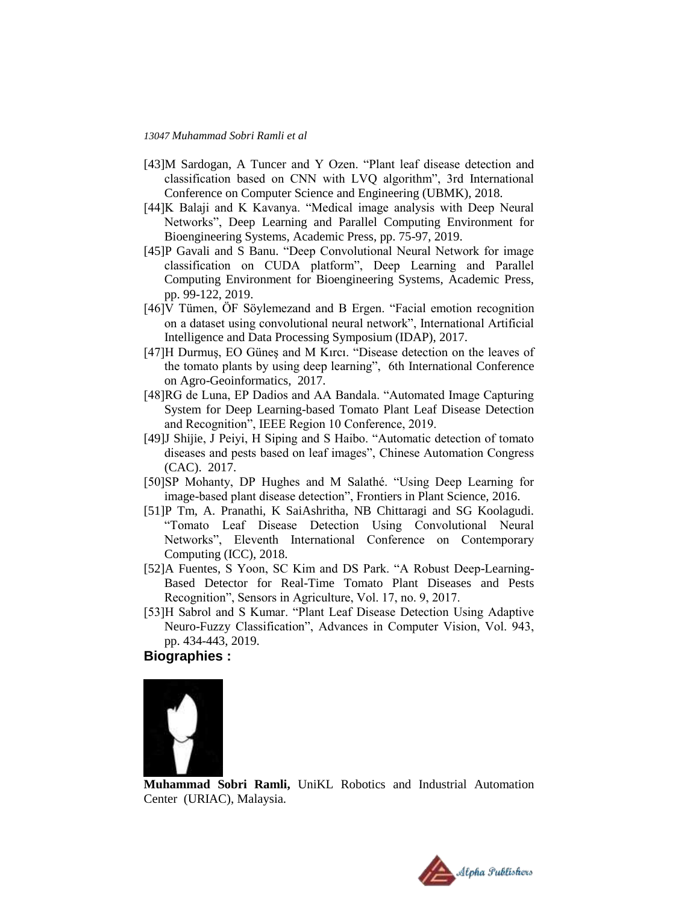- [43]M Sardogan, A Tuncer and Y Ozen. "Plant leaf disease detection and classification based on CNN with LVQ algorithm", 3rd International Conference on Computer Science and Engineering (UBMK), 2018.
- [44]K Balaji and K Kavanya. "Medical image analysis with Deep Neural Networks", Deep Learning and Parallel Computing Environment for Bioengineering Systems, Academic Press, pp. 75-97, 2019.
- [45]P Gavali and S Banu. "Deep Convolutional Neural Network for image classification on CUDA platform", Deep Learning and Parallel Computing Environment for Bioengineering Systems, Academic Press, pp. 99-122, 2019.
- [46]V Tümen, ÖF Söylemezand and B Ergen. "Facial emotion recognition on a dataset using convolutional neural network", International Artificial Intelligence and Data Processing Symposium (IDAP), 2017.
- [47]H Durmuş, EO Güneş and M Kırcı. "Disease detection on the leaves of the tomato plants by using deep learning", 6th International Conference on Agro-Geoinformatics, 2017.
- [48]RG de Luna, EP Dadios and AA Bandala. "Automated Image Capturing System for Deep Learning-based Tomato Plant Leaf Disease Detection and Recognition", IEEE Region 10 Conference, 2019.
- [49]J Shijie, J Peiyi, H Siping and S Haibo. "Automatic detection of tomato diseases and pests based on leaf images", Chinese Automation Congress (CAC). 2017.
- [50]SP Mohanty, DP Hughes and M Salathé. "Using Deep Learning for image-based plant disease detection", Frontiers in Plant Science, 2016.
- [51]P Tm, A. Pranathi, K SaiAshritha, NB Chittaragi and SG Koolagudi. "Tomato Leaf Disease Detection Using Convolutional Neural Networks", Eleventh International Conference on Contemporary Computing (ICC), 2018.
- [52]A Fuentes, S Yoon, SC Kim and DS Park. "A Robust Deep-Learning-Based Detector for Real-Time Tomato Plant Diseases and Pests Recognition", Sensors in Agriculture, Vol. 17, no. 9, 2017.
- [53]H Sabrol and S Kumar. "Plant Leaf Disease Detection Using Adaptive Neuro-Fuzzy Classification", Advances in Computer Vision, Vol. 943, pp. 434-443, 2019.

## **Biographies :**



**Muhammad Sobri Ramli,** UniKL Robotics and Industrial Automation Center (URIAC), Malaysia.